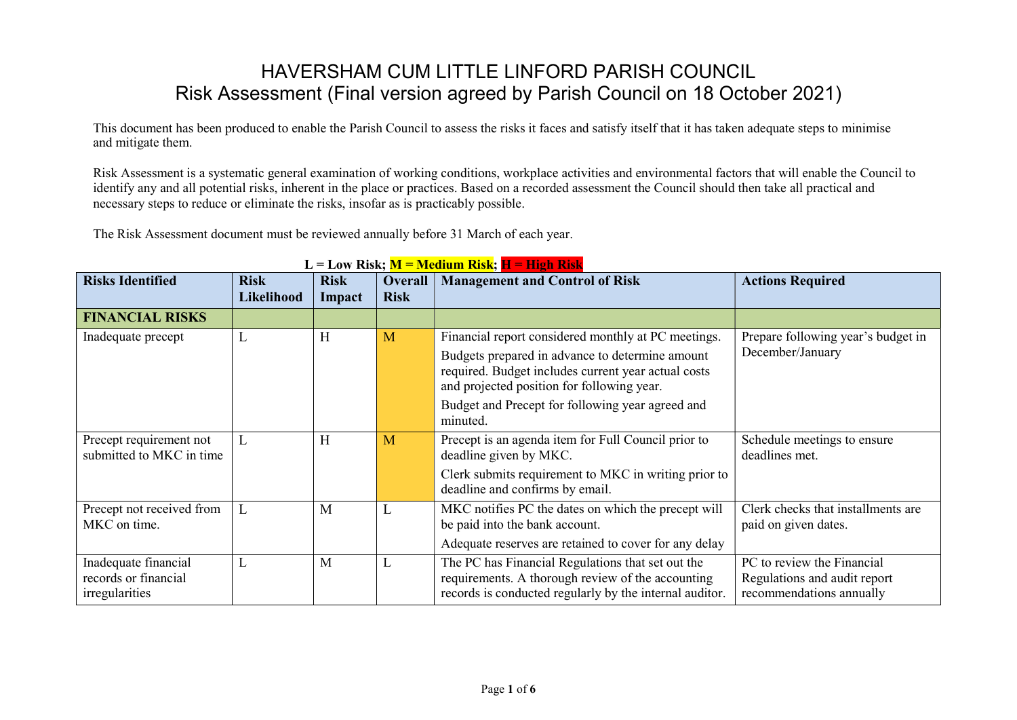## HAVERSHAM CUM LITTLE LINFORD PARISH COUNCIL Risk Assessment (Final version agreed by Parish Council on 18 October 2021)

This document has been produced to enable the Parish Council to assess the risks it faces and satisfy itself that it has taken adequate steps to minimise and mitigate them.

Risk Assessment is a systematic general examination of working conditions, workplace activities and environmental factors that will enable the Council to identify any and all potential risks, inherent in the place or practices. Based on a recorded assessment the Council should then take all practical and necessary steps to reduce or eliminate the risks, insofar as is practicably possible.

The Risk Assessment document must be reviewed annually before 31 March of each year.

| <b>Risks Identified</b>                                        | <b>Risk</b><br><b>Likelihood</b> | LIQUE TERRITO TEL<br><b>Risk</b><br>Impact | <b>Overall</b><br><b>Risk</b> | <u>1010010111 101919</u> , 11 111511 10191<br><b>Management and Control of Risk</b>                                                                                                                         | <b>Actions Required</b>                                                                |
|----------------------------------------------------------------|----------------------------------|--------------------------------------------|-------------------------------|-------------------------------------------------------------------------------------------------------------------------------------------------------------------------------------------------------------|----------------------------------------------------------------------------------------|
| <b>FINANCIAL RISKS</b>                                         |                                  |                                            |                               |                                                                                                                                                                                                             |                                                                                        |
| Inadequate precept                                             | L                                | H                                          | M                             | Financial report considered monthly at PC meetings.<br>Budgets prepared in advance to determine amount<br>required. Budget includes current year actual costs<br>and projected position for following year. | Prepare following year's budget in<br>December/January                                 |
|                                                                |                                  |                                            |                               | Budget and Precept for following year agreed and<br>minuted.                                                                                                                                                |                                                                                        |
| Precept requirement not<br>submitted to MKC in time            | L                                | H                                          | M                             | Precept is an agenda item for Full Council prior to<br>deadline given by MKC.                                                                                                                               | Schedule meetings to ensure<br>deadlines met.                                          |
|                                                                |                                  |                                            |                               | Clerk submits requirement to MKC in writing prior to<br>deadline and confirms by email.                                                                                                                     |                                                                                        |
| Precept not received from<br>MKC on time.                      | L                                | M                                          | L                             | MKC notifies PC the dates on which the precept will<br>be paid into the bank account.                                                                                                                       | Clerk checks that installments are<br>paid on given dates.                             |
|                                                                |                                  |                                            |                               | Adequate reserves are retained to cover for any delay                                                                                                                                                       |                                                                                        |
| Inadequate financial<br>records or financial<br>irregularities | L                                | M                                          | L                             | The PC has Financial Regulations that set out the<br>requirements. A thorough review of the accounting<br>records is conducted regularly by the internal auditor.                                           | PC to review the Financial<br>Regulations and audit report<br>recommendations annually |

## $L = L_0 w$  Risk:  $M = M$ edium Risk:  $H = H$ igh Risk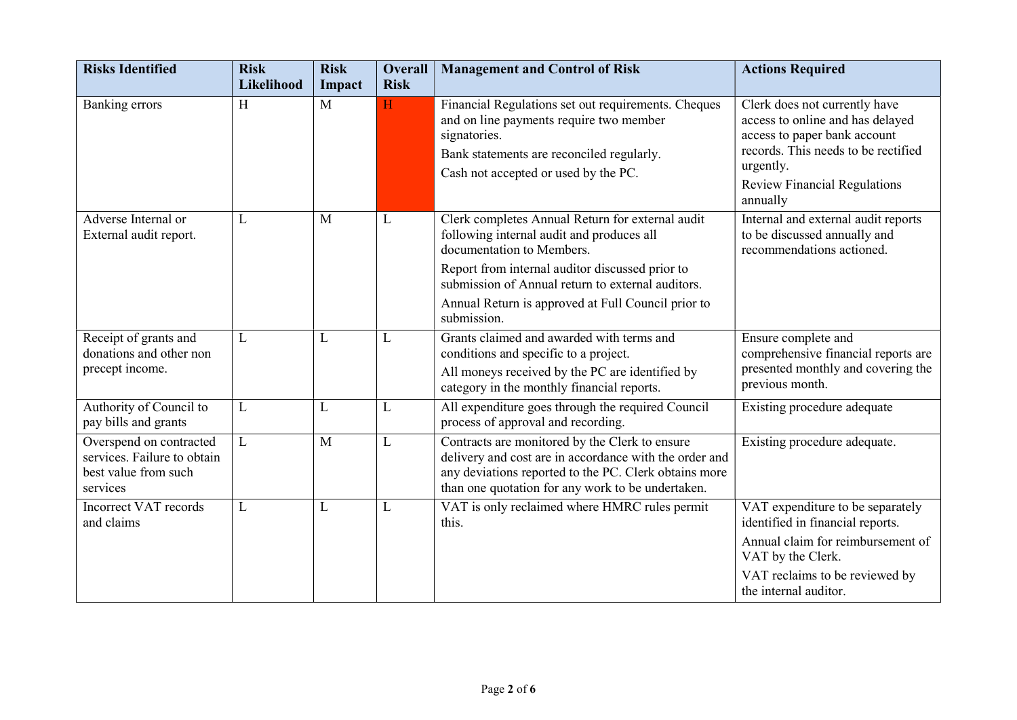| <b>Risks Identified</b>                                                                    | <b>Risk</b><br>Likelihood | <b>Risk</b><br>Impact | <b>Overall</b><br><b>Risk</b> | <b>Management and Control of Risk</b>                                                                                                                                                                                                                                                                   | <b>Actions Required</b>                                                                                                                                                                                  |
|--------------------------------------------------------------------------------------------|---------------------------|-----------------------|-------------------------------|---------------------------------------------------------------------------------------------------------------------------------------------------------------------------------------------------------------------------------------------------------------------------------------------------------|----------------------------------------------------------------------------------------------------------------------------------------------------------------------------------------------------------|
| Banking errors                                                                             | H                         | M                     | H                             | Financial Regulations set out requirements. Cheques<br>and on line payments require two member<br>signatories.<br>Bank statements are reconciled regularly.<br>Cash not accepted or used by the PC.                                                                                                     | Clerk does not currently have<br>access to online and has delayed<br>access to paper bank account<br>records. This needs to be rectified<br>urgently.<br><b>Review Financial Regulations</b><br>annually |
| Adverse Internal or<br>External audit report.                                              | L                         | M                     | L                             | Clerk completes Annual Return for external audit<br>following internal audit and produces all<br>documentation to Members.<br>Report from internal auditor discussed prior to<br>submission of Annual return to external auditors.<br>Annual Return is approved at Full Council prior to<br>submission. | Internal and external audit reports<br>to be discussed annually and<br>recommendations actioned.                                                                                                         |
| Receipt of grants and<br>donations and other non<br>precept income.                        | L                         | L                     | L                             | Grants claimed and awarded with terms and<br>conditions and specific to a project.<br>All moneys received by the PC are identified by<br>category in the monthly financial reports.                                                                                                                     | Ensure complete and<br>comprehensive financial reports are<br>presented monthly and covering the<br>previous month.                                                                                      |
| Authority of Council to<br>pay bills and grants                                            | L                         | L                     | L                             | All expenditure goes through the required Council<br>process of approval and recording.                                                                                                                                                                                                                 | Existing procedure adequate                                                                                                                                                                              |
| Overspend on contracted<br>services. Failure to obtain<br>best value from such<br>services | L                         | M                     | L                             | Contracts are monitored by the Clerk to ensure<br>delivery and cost are in accordance with the order and<br>any deviations reported to the PC. Clerk obtains more<br>than one quotation for any work to be undertaken.                                                                                  | Existing procedure adequate.                                                                                                                                                                             |
| Incorrect VAT records<br>and claims                                                        | L                         | L                     | L                             | VAT is only reclaimed where HMRC rules permit<br>this.                                                                                                                                                                                                                                                  | VAT expenditure to be separately<br>identified in financial reports.<br>Annual claim for reimbursement of<br>VAT by the Clerk.<br>VAT reclaims to be reviewed by<br>the internal auditor.                |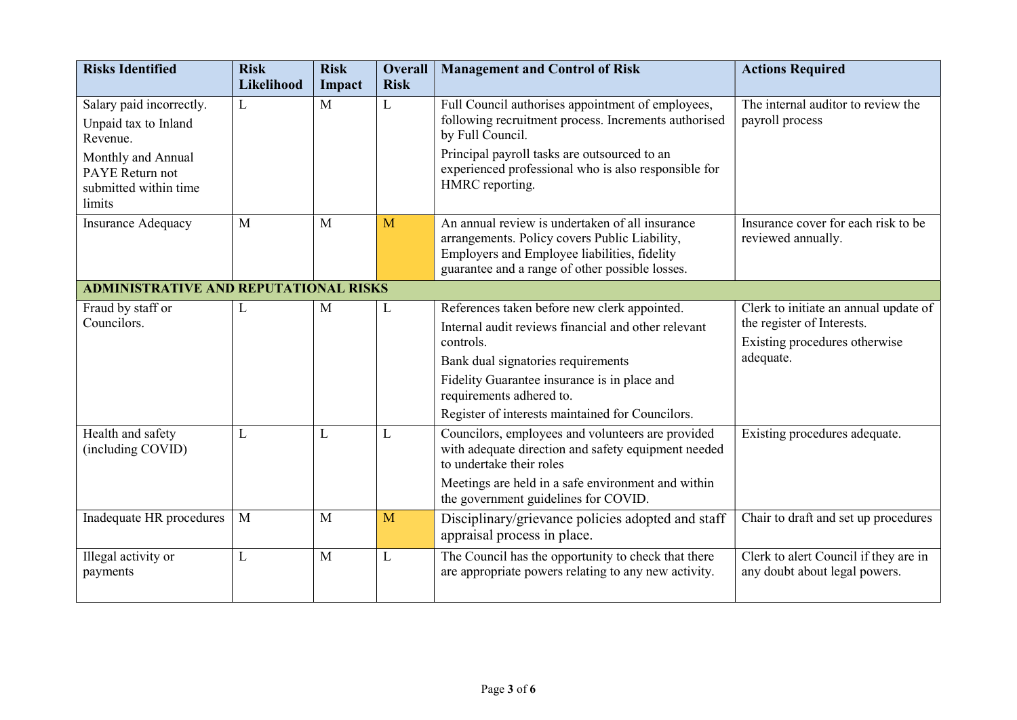| <b>Risks Identified</b>                                                                               | <b>Risk</b><br>Likelihood | <b>Risk</b><br>Impact | <b>Overall</b><br><b>Risk</b> | <b>Management and Control of Risk</b>                                                                                                                                                                                                 | <b>Actions Required</b>                                                                                           |  |  |
|-------------------------------------------------------------------------------------------------------|---------------------------|-----------------------|-------------------------------|---------------------------------------------------------------------------------------------------------------------------------------------------------------------------------------------------------------------------------------|-------------------------------------------------------------------------------------------------------------------|--|--|
| Salary paid incorrectly.<br>Unpaid tax to Inland<br>Revenue.<br>Monthly and Annual<br>PAYE Return not | L                         | M                     | L                             | Full Council authorises appointment of employees,<br>following recruitment process. Increments authorised<br>by Full Council.<br>Principal payroll tasks are outsourced to an<br>experienced professional who is also responsible for | The internal auditor to review the<br>payroll process                                                             |  |  |
| submitted within time<br>limits                                                                       |                           |                       |                               | HMRC reporting.                                                                                                                                                                                                                       |                                                                                                                   |  |  |
| <b>Insurance Adequacy</b>                                                                             | M                         | M                     | M                             | An annual review is undertaken of all insurance<br>arrangements. Policy covers Public Liability,<br>Employers and Employee liabilities, fidelity<br>guarantee and a range of other possible losses.                                   | Insurance cover for each risk to be<br>reviewed annually.                                                         |  |  |
| <b>ADMINISTRATIVE AND REPUTATIONAL RISKS</b>                                                          |                           |                       |                               |                                                                                                                                                                                                                                       |                                                                                                                   |  |  |
| Fraud by staff or<br>Councilors.                                                                      | L                         | M                     | L                             | References taken before new clerk appointed.<br>Internal audit reviews financial and other relevant<br>controls.<br>Bank dual signatories requirements<br>Fidelity Guarantee insurance is in place and<br>requirements adhered to.    | Clerk to initiate an annual update of<br>the register of Interests.<br>Existing procedures otherwise<br>adequate. |  |  |
|                                                                                                       |                           |                       |                               | Register of interests maintained for Councilors.                                                                                                                                                                                      |                                                                                                                   |  |  |
| Health and safety<br>(including COVID)                                                                | L                         | L                     | L                             | Councilors, employees and volunteers are provided<br>with adequate direction and safety equipment needed<br>to undertake their roles                                                                                                  | Existing procedures adequate.                                                                                     |  |  |
|                                                                                                       |                           |                       |                               | Meetings are held in a safe environment and within<br>the government guidelines for COVID.                                                                                                                                            |                                                                                                                   |  |  |
| Inadequate HR procedures                                                                              | M                         | M                     | M                             | Disciplinary/grievance policies adopted and staff<br>appraisal process in place.                                                                                                                                                      | Chair to draft and set up procedures                                                                              |  |  |
| Illegal activity or<br>payments                                                                       | L                         | M                     | L                             | The Council has the opportunity to check that there<br>are appropriate powers relating to any new activity.                                                                                                                           | Clerk to alert Council if they are in<br>any doubt about legal powers.                                            |  |  |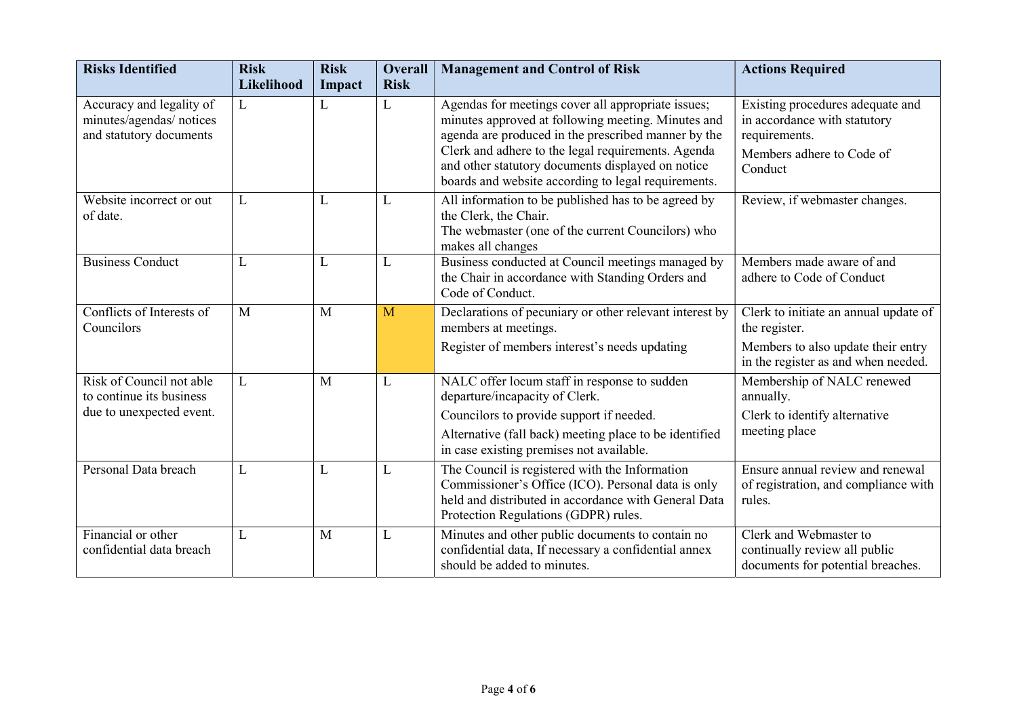| <b>Risks Identified</b>                                                          | <b>Risk</b><br>Likelihood | <b>Risk</b><br>Impact | <b>Overall</b><br><b>Risk</b> | <b>Management and Control of Risk</b>                                                                                                                                                                                                                                                                                             | <b>Actions Required</b>                                                                                                             |
|----------------------------------------------------------------------------------|---------------------------|-----------------------|-------------------------------|-----------------------------------------------------------------------------------------------------------------------------------------------------------------------------------------------------------------------------------------------------------------------------------------------------------------------------------|-------------------------------------------------------------------------------------------------------------------------------------|
| Accuracy and legality of<br>minutes/agendas/ notices<br>and statutory documents  | L                         | L                     | L                             | Agendas for meetings cover all appropriate issues;<br>minutes approved at following meeting. Minutes and<br>agenda are produced in the prescribed manner by the<br>Clerk and adhere to the legal requirements. Agenda<br>and other statutory documents displayed on notice<br>boards and website according to legal requirements. | Existing procedures adequate and<br>in accordance with statutory<br>requirements.<br>Members adhere to Code of<br>Conduct           |
| Website incorrect or out<br>of date.                                             | L                         | L                     | L                             | All information to be published has to be agreed by<br>the Clerk, the Chair.<br>The webmaster (one of the current Councilors) who<br>makes all changes                                                                                                                                                                            | Review, if webmaster changes.                                                                                                       |
| <b>Business Conduct</b>                                                          | L                         | L                     | L                             | Business conducted at Council meetings managed by<br>the Chair in accordance with Standing Orders and<br>Code of Conduct.                                                                                                                                                                                                         | Members made aware of and<br>adhere to Code of Conduct                                                                              |
| Conflicts of Interests of<br>Councilors                                          | M                         | M                     | M                             | Declarations of pecuniary or other relevant interest by<br>members at meetings.<br>Register of members interest's needs updating                                                                                                                                                                                                  | Clerk to initiate an annual update of<br>the register.<br>Members to also update their entry<br>in the register as and when needed. |
| Risk of Council not able<br>to continue its business<br>due to unexpected event. | L                         | M                     | L                             | NALC offer locum staff in response to sudden<br>departure/incapacity of Clerk.<br>Councilors to provide support if needed.<br>Alternative (fall back) meeting place to be identified<br>in case existing premises not available.                                                                                                  | Membership of NALC renewed<br>annually.<br>Clerk to identify alternative<br>meeting place                                           |
| Personal Data breach                                                             | L                         | L                     | L                             | The Council is registered with the Information<br>Commissioner's Office (ICO). Personal data is only<br>held and distributed in accordance with General Data<br>Protection Regulations (GDPR) rules.                                                                                                                              | Ensure annual review and renewal<br>of registration, and compliance with<br>rules.                                                  |
| Financial or other<br>confidential data breach                                   | L                         | M                     | L                             | Minutes and other public documents to contain no<br>confidential data, If necessary a confidential annex<br>should be added to minutes.                                                                                                                                                                                           | Clerk and Webmaster to<br>continually review all public<br>documents for potential breaches.                                        |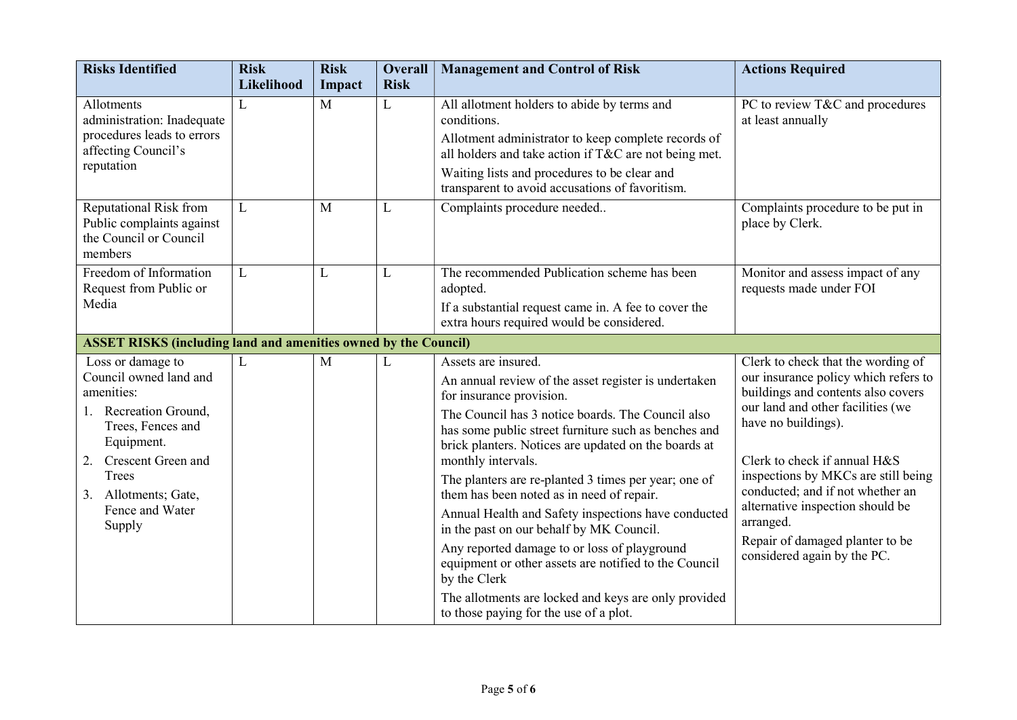| <b>Risks Identified</b>                                                                                                                                                                                                   | <b>Risk</b><br>Likelihood | <b>Risk</b><br>Impact | <b>Overall</b><br><b>Risk</b> | <b>Management and Control of Risk</b>                                                                                                                                                                                                                                                                                                                                                                                                                                                                                                                                                                                                                                                       | <b>Actions Required</b>                                                                                                                                                                                                                                                                                                                                                                                    |
|---------------------------------------------------------------------------------------------------------------------------------------------------------------------------------------------------------------------------|---------------------------|-----------------------|-------------------------------|---------------------------------------------------------------------------------------------------------------------------------------------------------------------------------------------------------------------------------------------------------------------------------------------------------------------------------------------------------------------------------------------------------------------------------------------------------------------------------------------------------------------------------------------------------------------------------------------------------------------------------------------------------------------------------------------|------------------------------------------------------------------------------------------------------------------------------------------------------------------------------------------------------------------------------------------------------------------------------------------------------------------------------------------------------------------------------------------------------------|
| Allotments<br>administration: Inadequate<br>procedures leads to errors<br>affecting Council's<br>reputation                                                                                                               | L                         | M                     | L                             | All allotment holders to abide by terms and<br>conditions.<br>Allotment administrator to keep complete records of<br>all holders and take action if T&C are not being met.<br>Waiting lists and procedures to be clear and<br>transparent to avoid accusations of favoritism.                                                                                                                                                                                                                                                                                                                                                                                                               | PC to review T&C and procedures<br>at least annually                                                                                                                                                                                                                                                                                                                                                       |
| <b>Reputational Risk from</b><br>Public complaints against<br>the Council or Council<br>members                                                                                                                           | L                         | M                     | L                             | Complaints procedure needed                                                                                                                                                                                                                                                                                                                                                                                                                                                                                                                                                                                                                                                                 | Complaints procedure to be put in<br>place by Clerk.                                                                                                                                                                                                                                                                                                                                                       |
| Freedom of Information<br>Request from Public or<br>Media                                                                                                                                                                 | L                         | L                     | L                             | The recommended Publication scheme has been<br>adopted.<br>If a substantial request came in. A fee to cover the<br>extra hours required would be considered.                                                                                                                                                                                                                                                                                                                                                                                                                                                                                                                                | Monitor and assess impact of any<br>requests made under FOI                                                                                                                                                                                                                                                                                                                                                |
| <b>ASSET RISKS (including land and amenities owned by the Council)</b>                                                                                                                                                    |                           |                       |                               |                                                                                                                                                                                                                                                                                                                                                                                                                                                                                                                                                                                                                                                                                             |                                                                                                                                                                                                                                                                                                                                                                                                            |
| Loss or damage to<br>Council owned land and<br>amenities:<br>Recreation Ground,<br>1.<br>Trees, Fences and<br>Equipment.<br><b>Crescent Green and</b><br>2.<br>Trees<br>3. Allotments; Gate,<br>Fence and Water<br>Supply | L                         | M                     | L                             | Assets are insured.<br>An annual review of the asset register is undertaken<br>for insurance provision.<br>The Council has 3 notice boards. The Council also<br>has some public street furniture such as benches and<br>brick planters. Notices are updated on the boards at<br>monthly intervals.<br>The planters are re-planted 3 times per year; one of<br>them has been noted as in need of repair.<br>Annual Health and Safety inspections have conducted<br>in the past on our behalf by MK Council.<br>Any reported damage to or loss of playground<br>equipment or other assets are notified to the Council<br>by the Clerk<br>The allotments are locked and keys are only provided | Clerk to check that the wording of<br>our insurance policy which refers to<br>buildings and contents also covers<br>our land and other facilities (we<br>have no buildings).<br>Clerk to check if annual H&S<br>inspections by MKCs are still being<br>conducted; and if not whether an<br>alternative inspection should be<br>arranged.<br>Repair of damaged planter to be<br>considered again by the PC. |
|                                                                                                                                                                                                                           |                           |                       |                               | to those paying for the use of a plot.                                                                                                                                                                                                                                                                                                                                                                                                                                                                                                                                                                                                                                                      |                                                                                                                                                                                                                                                                                                                                                                                                            |